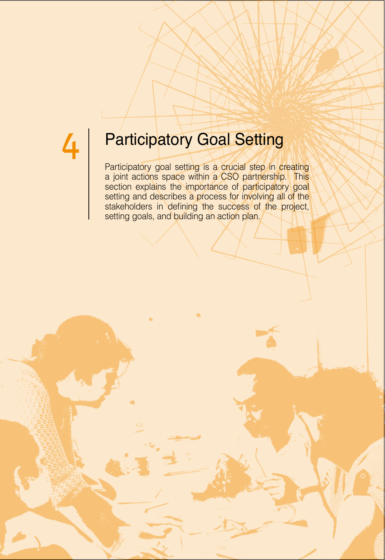## 4 Participatory Goal Setting

Participatory goal setting is a crucial step in creating a joint actions space within a CSO partnership. This section explains the importance of participatory goal setting and describes a process for involving all of the stakeholders in defining the success of the project, setting goals, and building an action plan.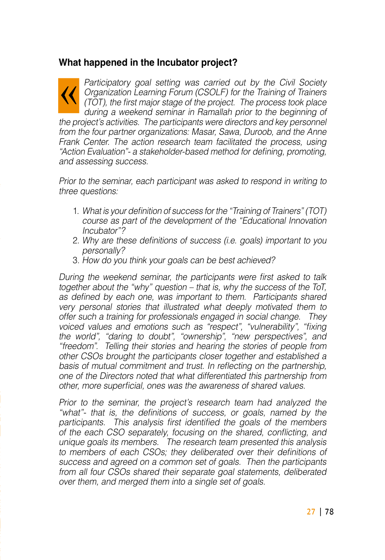#### **What happened in the Incubator project?**

Participatory goal setting was carried out by the Civil Society Organization Learning Forum (CSOLF) for the Training of Trainers (TOT), the first major stage of the project. The process took place during a weekend seminar in Ramallah prior to the beginning of the project's activities. The participants were directors and key personnel from the four partner organizations: Masar, Sawa, Duroob, and the Anne Frank Center. The action research team facilitated the process, using "Action Evaluation"- a stakeholder-based method for defining, promoting, and assessing success.

Prior to the seminar, each participant was asked to respond in writing to three questions:

- 1. What is your definition of success for the "Training of Trainers" (TOT) course as part of the development of the "Educational Innovation Incubator"?
- 2. Why are these definitions of success (i.e. goals) important to you personally?
- 3. How do you think your goals can be best achieved?

During the weekend seminar, the participants were first asked to talk together about the "why" question – that is, why the success of the ToT, as defined by each one, was important to them. Participants shared very personal stories that illustrated what deeply motivated them to offer such a training for professionals engaged in social change. They voiced values and emotions such as "respect", "vulnerability", "fixing the world", "daring to doubt", "ownership", "new perspectives", and "freedom". Telling their stories and hearing the stories of people from other CSOs brought the participants closer together and established a basis of mutual commitment and trust. In reflecting on the partnership, one of the Directors noted that what differentiated this partnership from other, more superficial, ones was the awareness of shared values,

Prior to the seminar, the project's research team had analyzed the "what"- that is, the definitions of success, or goals, named by the participants. This analysis first identified the goals of the members. of the each CSO separately, focusing on the shared, conflicting, and unique goals its members. The research team presented this analysis to members of each CSOs; they deliberated over their definitions of success and agreed on a common set of goals. Then the participants from all four CSOs shared their separate goal statements, deliberated over them, and merged them into a single set of goals.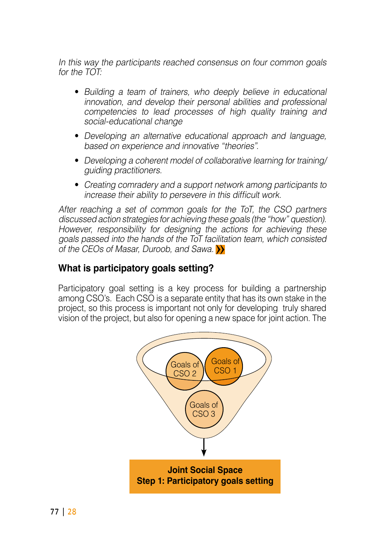In this way the participants reached consensus on four common goals for the  $TOT$ 

- Building a team of trainers, who deeply believe in educational innovation, and develop their personal abilities and professional competencies to lead processes of high quality training and social-educational change
- Developing an alternative educational approach and language, based on experience and innovative "theories".
- Developing a coherent model of collaborative learning for training/ quiding practitioners.
- Creating comradery and a support network among participants to increase their ability to persevere in this difficult work.

After reaching a set of common goals for the ToT, the CSO partners discussed action strategies for achieving these goals (the "how" question). However, responsibility for designing the actions for achieving these goals passed into the hands of the ToT facilitation team, which consisted of the CEOs of Masar, Duroob, and Sawa.  $\sum$ 

#### **What is participatory goals setting?**

Participatory goal setting is a key process for building a partnership among CSO's. Each CSO is a separate entity that has its own stake in the project, so this process is important not only for developing truly shared vision of the project, but also for opening a new space for joint action. The

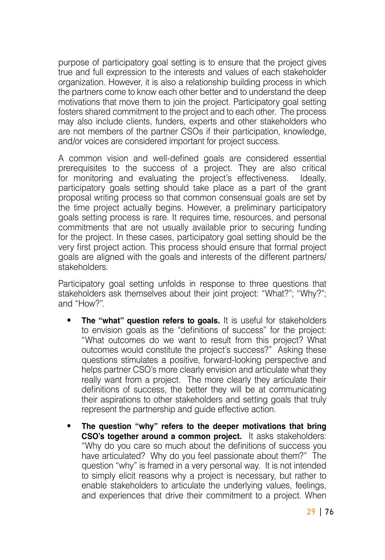purpose of participatory goal setting is to ensure that the project gives true and full expression to the interests and values of each stakeholder organization. However, it is also a relationship building process in which the partners come to know each other better and to understand the deep motivations that move them to join the project. Participatory goal setting fosters shared commitment to the project and to each other. The process may also include clients, funders, experts and other stakeholders who are not members of the partner CSOs if their participation, knowledge, and/or voices are considered important for project success.

A common vision and well-defined goals are considered essential prerequisites to the success of a project. They are also critical for monitoring and evaluating the project's effectiveness. Ideally, participatory goals setting should take place as a part of the grant proposal writing process so that common consensual goals are set by the time project actually begins. However, a preliminary participatory goals setting process is rare. It requires time, resources, and personal commitments that are not usually available prior to securing funding for the project. In these cases, participatory goal setting should be the very first project action. This process should ensure that formal project goals are aligned with the goals and interests of the different partners/ .stakeholders

Participatory goal setting unfolds in response to three questions that stakeholders ask themselves about their joint project: "What?"; "Why?"; and "How?".

- **The "what" question refers to goals.** It is useful for stakeholders to envision goals as the "definitions of success" for the project: "What outcomes do we want to result from this project? What outcomes would constitute the project's success?" Asking these questions stimulates a positive, forward-looking perspective and helps partner CSO's more clearly envision and articulate what they really want from a project. The more clearly they articulate their definitions of success, the better they will be at communicating their aspirations to other stakeholders and setting goals that truly represent the partnership and quide effective action.
- The question "why" refers to the deeper motivations that bring **CSO's together around a common project.** It asks stakeholders: "Why do you care so much about the definitions of success you have articulated? Why do you feel passionate about them?" The question "why" is framed in a very personal way. It is not intended to simply elicit reasons why a project is necessary, but rather to enable stakeholders to articulate the underlying values, feelings, and experiences that drive their commitment to a project. When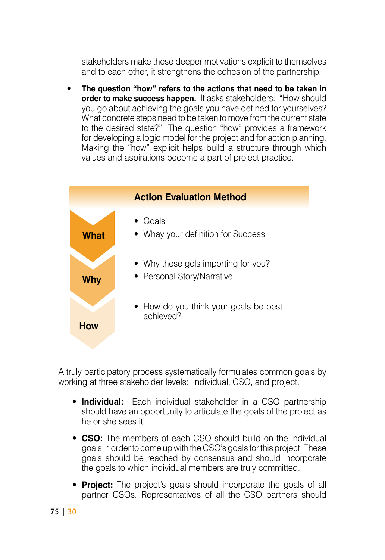stakeholders make these deeper motivations explicit to themselves and to each other, it strengthens the cohesion of the partnership.

The question "how" refers to the actions that need to be taken in order to make success happen. It asks stakeholders: "How should you go about achieving the goals you have defined for yourselves? What concrete steps need to be taken to move from the current state to the desired state?" The question "how" provides a framework for developing a logic model for the project and for action planning. Making the "how" explicit helps build a structure through which values and aspirations become a part of project practice.



A truly participatory process systematically formulates common goals by working at three stakeholder levels: individual, CSO, and project.

- **Individual:** Each individual stakeholder in a CSO partnership should have an opportunity to articulate the goals of the project as he or she sees it
- CSO: The members of each CSO should build on the individual goals in order to come up with the CSO's goals for this project. These goals should be reached by consensus and should incorporate the goals to which individual members are truly committed.
- **Project:** The project's goals should incorporate the goals of all partner CSOs. Representatives of all the CSO partners should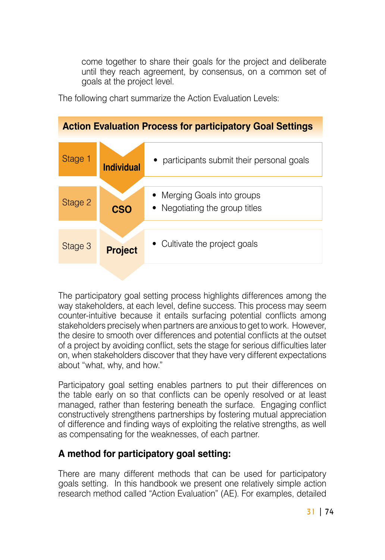come together to share their goals for the project and deliberate until they reach agreement, by consensus, on a common set of goals at the project level.

The following chart summarize the Action Evaluation Levels:



The participatory goal setting process highlights differences among the way stakeholders, at each level, define success. This process may seem counter-intuitive because it entails surfacing potential conflicts among stakeholders precisely when partners are anxious to get to work. However, the desire to smooth over differences and potential conflicts at the outset of a project by avoiding conflict, sets the stage for serious difficulties later on, when stakeholders discover that they have very different expectations about "what, why, and how."

Participatory goal setting enables partners to put their differences on the table early on so that conflicts can be openly resolved or at least managed, rather than festering beneath the surface. Engaging conflict constructively strengthens partnerships by fostering mutual appreciation of difference and finding ways of exploiting the relative strengths, as well as compensating for the weaknesses, of each partner.

### **A** method for participatory goal setting:

There are many different methods that can be used for participatory goals setting. In this handbook we present one relatively simple action research method called "Action Evaluation" (AE). For examples, detailed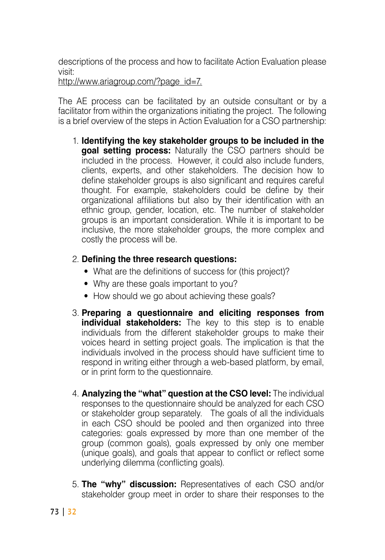descriptions of the process and how to facilitate Action Evaluation please visit<sup>.</sup>

http://www.ariagroup.com/?page id=7.

The AE process can be facilitated by an outside consultant or by a facilitator from within the organizations initiating the project. The following is a brief overview of the steps in Action Evaluation for a CSO partnership:

**1. Identifying the key stakeholder groups to be included in the goal setting process:** Naturally the CSO partners should be included in the process. However, it could also include funders, clients, experts, and other stakeholders. The decision how to define stakeholder groups is also significant and requires careful thought. For example, stakeholders could be define by their organizational affiliations but also by their identification with an ethnic group, gender, location, etc. The number of stakeholder groups is an important consideration. While it is important to be inclusive, the more stakeholder groups, the more complex and costly the process will be.

#### **2. Defining the three research questions:**

- What are the definitions of success for (this project)?
- Why are these goals important to you?
- How should we go about achieving these goals?
- 3. Preparing a questionnaire and eliciting responses from individual stakeholders: The key to this step is to enable individuals from the different stakeholder groups to make their voices heard in setting project goals. The implication is that the individuals involved in the process should have sufficient time to respond in writing either through a web-based platform, by email, or in print form to the questionnaire.
- 4. **Analyzing the "what" question at the CSO level:** The individual responses to the questionnaire should be analyzed for each CSO or stakeholder group separately. The goals of all the individuals in each CSO should be pooled and then organized into three categories: goals expressed by more than one member of the group (common goals), goals expressed by only one member (unique goals), and goals that appear to conflict or reflect some underlying dilemma (conflicting goals).
- 5. **The "why" discussion:** Representatives of each CSO and/or stakeholder group meet in order to share their responses to the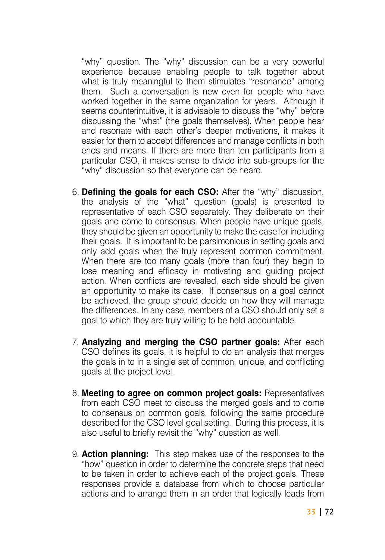"why" question. The "why" discussion can be a very powerful experience because enabling people to talk together about what is truly meaningful to them stimulates "resonance" among them. Such a conversation is new even for people who have worked together in the same organization for years. Although it seems counterintuitive, it is advisable to discuss the "why" before discussing the "what" (the goals themselves). When people hear and resonate with each other's deeper motivations, it makes it easier for them to accept differences and manage conflicts in both ends and means. If there are more than ten participants from a particular CSO, it makes sense to divide into sub-groups for the "why" discussion so that everyone can be heard.

- 6. **Defining the goals for each CSO:** After the "why" discussion, the analysis of the "what" question (qoals) is presented to representative of each CSO separately. They deliberate on their goals and come to consensus. When people have unique goals, they should be given an opportunity to make the case for including their goals. It is important to be parsimonious in setting goals and only add goals when the truly represent common commitment. When there are too many goals (more than four) they begin to lose meaning and efficacy in motivating and quiding project action. When conflicts are revealed, each side should be given an opportunity to make its case. If consensus on a goal cannot be achieved, the group should decide on how they will manage the differences. In any case, members of a CSO should only set a goal to which they are truly willing to be held accountable.
- 7. **Analyzing and merging the CSO partner goals:** After each CSO defines its goals, it is helpful to do an analysis that merges the goals in to in a single set of common, unique, and conflicting goals at the project level.
- 8. **Meeting to agree on common project goals:** Representatives from each CSO meet to discuss the merged goals and to come to consensus on common goals, following the same procedure described for the CSO level goal setting. During this process, it is also useful to briefly revisit the "why" question as well.
- 9. **Action planning:** This step makes use of the responses to the "how" question in order to determine the concrete steps that need to be taken in order to achieve each of the project goals. These responses provide a database from which to choose particular actions and to arrange them in an order that logically leads from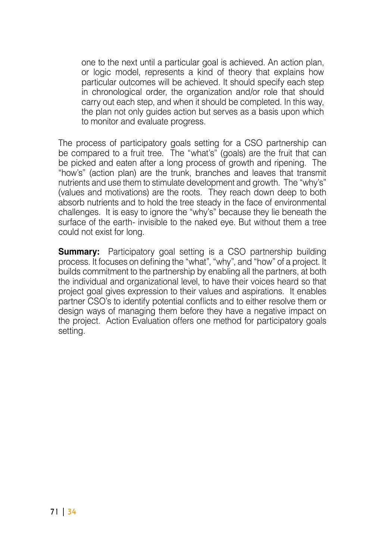one to the next until a particular goal is achieved. An action plan, or logic model, represents a kind of theory that explains how particular outcomes will be achieved. It should specify each step in chronological order, the organization and/or role that should carry out each step, and when it should be completed. In this way, the plan not only quides action but serves as a basis upon which to monitor and evaluate progress.

The process of participatory goals setting for a CSO partnership can be compared to a fruit tree. The "what's" (goals) are the fruit that can be picked and eaten after a long process of growth and ripening. The "how's" (action plan) are the trunk, branches and leaves that transmit nutrients and use them to stimulate development and growth. The "why's" (values and motivations) are the roots. They reach down deep to both absorb nutrients and to hold the tree steady in the face of environmental challenges. It is easy to ignore the "why's" because they lie beneath the surface of the earth- invisible to the naked eye. But without them a tree could not exist for long.

**Summary:** Participatory goal setting is a CSO partnership building process. It focuses on defining the "what", "why", and "how" of a project. It builds commitment to the partnership by enabling all the partners, at both the individual and organizational level, to have their voices heard so that project goal gives expression to their values and aspirations. It enables partner CSO's to identify potential conflicts and to either resolve them or design ways of managing them before they have a negative impact on the project. Action Evaluation offers one method for participatory goals .setting